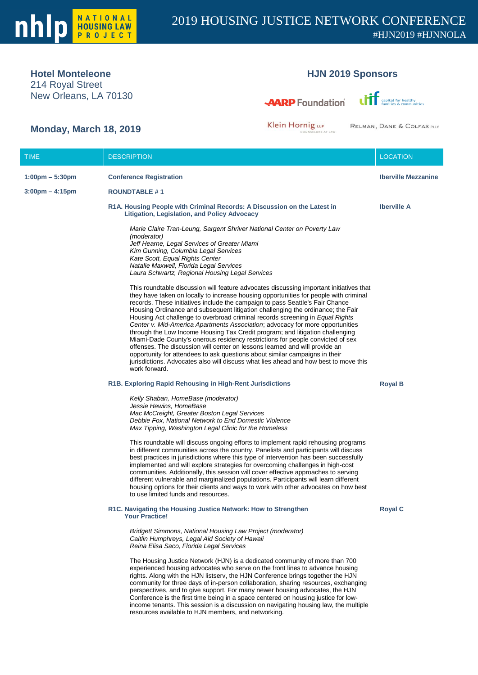

## **Hotel Monteleone**

214 Royal Street New Orleans, LA 70130

# **HJN 2019 Sponsors**

**AARP** Foundation



# **Monday, March 18, 2019**

Klein Hornig LLP

RELMAN, DANE & COLFAX PLLC

| <b>TIME</b>                       | <b>DESCRIPTION</b>                                                                                                                                                                                                                                                                                                                                                                                                                                                                                                                                                                                                                                                                                                                                                                                                                                                                                                                                               | <b>LOCATION</b>            |
|-----------------------------------|------------------------------------------------------------------------------------------------------------------------------------------------------------------------------------------------------------------------------------------------------------------------------------------------------------------------------------------------------------------------------------------------------------------------------------------------------------------------------------------------------------------------------------------------------------------------------------------------------------------------------------------------------------------------------------------------------------------------------------------------------------------------------------------------------------------------------------------------------------------------------------------------------------------------------------------------------------------|----------------------------|
| $1:00 \text{pm} - 5:30 \text{pm}$ | <b>Conference Registration</b>                                                                                                                                                                                                                                                                                                                                                                                                                                                                                                                                                                                                                                                                                                                                                                                                                                                                                                                                   | <b>Iberville Mezzanine</b> |
| $3:00 \text{pm} - 4:15 \text{pm}$ | <b>ROUNDTABLE #1</b>                                                                                                                                                                                                                                                                                                                                                                                                                                                                                                                                                                                                                                                                                                                                                                                                                                                                                                                                             |                            |
|                                   | R1A. Housing People with Criminal Records: A Discussion on the Latest in<br>Litigation, Legislation, and Policy Advocacy                                                                                                                                                                                                                                                                                                                                                                                                                                                                                                                                                                                                                                                                                                                                                                                                                                         | <b>Iberville A</b>         |
|                                   | Marie Claire Tran-Leung, Sargent Shriver National Center on Poverty Law<br>(moderator)<br>Jeff Hearne, Legal Services of Greater Miami<br>Kim Gunning, Columbia Legal Services<br>Kate Scott, Equal Rights Center<br>Natalie Maxwell, Florida Legal Services<br>Laura Schwartz, Regional Housing Legal Services                                                                                                                                                                                                                                                                                                                                                                                                                                                                                                                                                                                                                                                  |                            |
|                                   | This roundtable discussion will feature advocates discussing important initiatives that<br>they have taken on locally to increase housing opportunities for people with criminal<br>records. These initiatives include the campaign to pass Seattle's Fair Chance<br>Housing Ordinance and subsequent litigation challenging the ordinance; the Fair<br>Housing Act challenge to overbroad criminal records screening in Equal Rights<br>Center v. Mid-America Apartments Association; advocacy for more opportunities<br>through the Low Income Housing Tax Credit program; and litigation challenging<br>Miami-Dade County's onerous residency restrictions for people convicted of sex<br>offenses. The discussion will center on lessons learned and will provide an<br>opportunity for attendees to ask questions about similar campaigns in their<br>jurisdictions. Advocates also will discuss what lies ahead and how best to move this<br>work forward. |                            |
|                                   | R1B. Exploring Rapid Rehousing in High-Rent Jurisdictions                                                                                                                                                                                                                                                                                                                                                                                                                                                                                                                                                                                                                                                                                                                                                                                                                                                                                                        | <b>Royal B</b>             |
|                                   | Kelly Shaban, HomeBase (moderator)<br>Jessie Hewins, HomeBase<br>Mac McCreight, Greater Boston Legal Services<br>Debbie Fox, National Network to End Domestic Violence<br>Max Tipping, Washington Legal Clinic for the Homeless                                                                                                                                                                                                                                                                                                                                                                                                                                                                                                                                                                                                                                                                                                                                  |                            |
|                                   | This roundtable will discuss ongoing efforts to implement rapid rehousing programs<br>in different communities across the country. Panelists and participants will discuss<br>best practices in jurisdictions where this type of intervention has been successfully<br>implemented and will explore strategies for overcoming challenges in high-cost<br>communities. Additionally, this session will cover effective approaches to serving<br>different vulnerable and marginalized populations. Participants will learn different<br>housing options for their clients and ways to work with other advocates on how best<br>to use limited funds and resources.                                                                                                                                                                                                                                                                                                |                            |
|                                   | R1C. Navigating the Housing Justice Network: How to Strengthen<br><b>Your Practice!</b>                                                                                                                                                                                                                                                                                                                                                                                                                                                                                                                                                                                                                                                                                                                                                                                                                                                                          | <b>Royal C</b>             |
|                                   | Bridgett Simmons, National Housing Law Project (moderator)<br>Caitlin Humphreys, Legal Aid Society of Hawaii<br>Reina Elisa Saco, Florida Legal Services                                                                                                                                                                                                                                                                                                                                                                                                                                                                                                                                                                                                                                                                                                                                                                                                         |                            |
|                                   | The Housing Justice Network (HJN) is a dedicated community of more than 700<br>experienced housing advocates who serve on the front lines to advance housing<br>rights. Along with the HJN listserv, the HJN Conference brings together the HJN<br>community for three days of in-person collaboration, sharing resources, exchanging<br>perspectives, and to give support. For many newer housing advocates, the HJN<br>Conference is the first time being in a space centered on housing justice for low-<br>income tenants. This session is a discussion on navigating housing law, the multiple<br>resources available to HJN members, and networking.                                                                                                                                                                                                                                                                                                       |                            |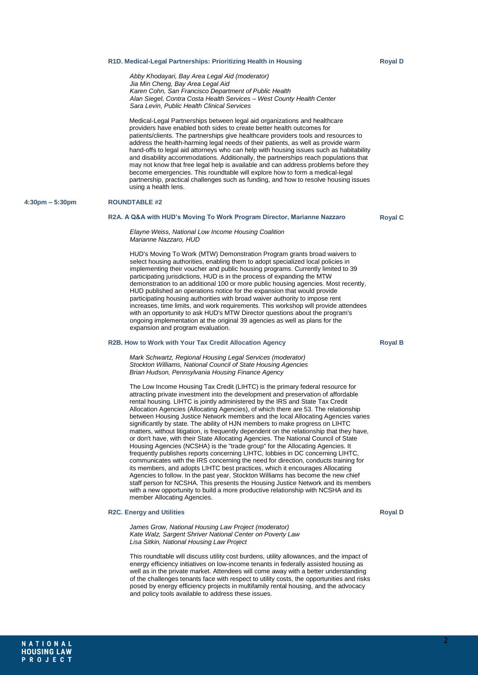#### **R1D. Medical-Legal Partnerships: Prioritizing Health in Housing**

*Abby Khodayari, Bay Area Legal Aid (moderator) Jia Min Cheng, Bay Area Legal Aid Karen Cohn, San Francisco Department of Public Health Alan Siegel, Contra Costa Health Services – West County Health Center Sara Levin, Public Health Clinical Services*

Medical-Legal Partnerships between legal aid organizations and healthcare providers have enabled both sides to create better health outcomes for patients/clients. The partnerships give healthcare providers tools and resources to address the health-harming legal needs of their patients, as well as provide warm hand-offs to legal aid attorneys who can help with housing issues such as habitability and disability accommodations. Additionally, the partnerships reach populations that may not know that free legal help is available and can address problems before they become emergencies. This roundtable will explore how to form a medical-legal partnership, practical challenges such as funding, and how to resolve housing issues using a health lens.

#### **4:30pm – 5:30pm ROUNDTABLE #2**

#### **R2A. A Q&A with HUD's Moving To Work Program Director, Marianne Nazzaro**

**Royal C**

*Elayne Weiss, National Low Income Housing Coalition Marianne Nazzaro, HUD*

HUD's Moving To Work (MTW) Demonstration Program grants broad waivers to select housing authorities, enabling them to adopt specialized local policies in implementing their voucher and public housing programs. Currently limited to 39 participating jurisdictions, HUD is in the process of expanding the MTW demonstration to an additional 100 or more public housing agencies. Most recently, HUD published an operations notice for the expansion that would provide participating housing authorities with broad waiver authority to impose rent increases, time limits, and work requirements. This workshop will provide attendees with an opportunity to ask HUD's MTW Director questions about the program's ongoing implementation at the original 39 agencies as well as plans for the expansion and program evaluation.

#### **R2B. How to Work with Your Tax Credit Allocation Agency**

*Mark Schwartz, Regional Housing Legal Services (moderator) Stockton Williams, National Council of State Housing Agencies Brian Hudson, Pennsylvania Housing Finance Agency*

The Low Income Housing Tax Credit (LIHTC) is the primary federal resource for attracting private investment into the development and preservation of affordable rental housing. LIHTC is jointly administered by the IRS and State Tax Credit Allocation Agencies (Allocating Agencies), of which there are 53. The relationship between Housing Justice Network members and the local Allocating Agencies varies significantly by state. The ability of HJN members to make progress on LIHTC matters, without litigation, is frequently dependent on the relationship that they have, or don't have, with their State Allocating Agencies. The National Council of State Housing Agencies (NCSHA) is the "trade group" for the Allocating Agencies. It frequently publishes reports concerning LIHTC, lobbies in DC concerning LIHTC, communicates with the IRS concerning the need for direction, conducts training for its members, and adopts LIHTC best practices, which it encourages Allocating Agencies to follow. In the past year, Stockton Williams has become the new chief staff person for NCSHA. This presents the Housing Justice Network and its members with a new opportunity to build a more productive relationship with NCSHA and its member Allocating Agencies.

#### **R2C. Energy and Utilities**

*James Grow, National Housing Law Project (moderator) Kate Walz, Sargent Shriver National Center on Poverty Law Lisa Sitkin, National Housing Law Project*

This roundtable will discuss utility cost burdens, utility allowances, and the impact of energy efficiency initiatives on low-income tenants in federally assisted housing as well as in the private market. Attendees will come away with a better understanding of the challenges tenants face with respect to utility costs, the opportunities and risks posed by energy efficiency projects in multifamily rental housing, and the advocacy and policy tools available to address these issues.

#### **Royal B**

**Royal D**

### 2

**Royal D**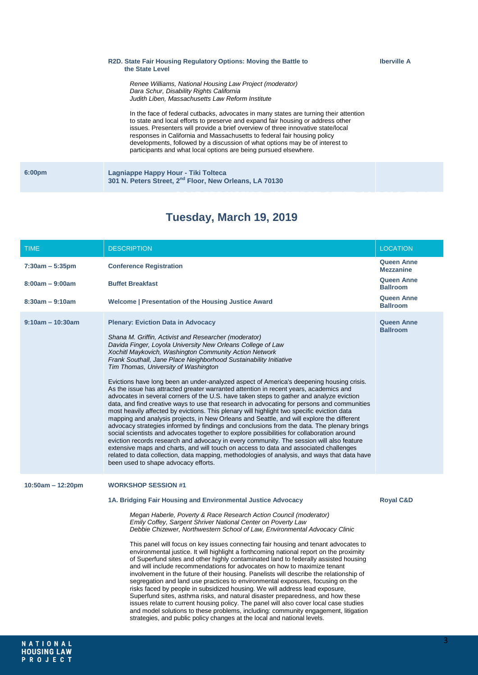|                    | R2D. State Fair Housing Regulatory Options: Moving the Battle to<br>the State Level                                                                                                                                                                                                                                                                                                                                                                                                          |
|--------------------|----------------------------------------------------------------------------------------------------------------------------------------------------------------------------------------------------------------------------------------------------------------------------------------------------------------------------------------------------------------------------------------------------------------------------------------------------------------------------------------------|
|                    | Renee Williams, National Housing Law Project (moderator)<br>Dara Schur, Disability Rights California<br>Judith Liben. Massachusetts Law Reform Institute                                                                                                                                                                                                                                                                                                                                     |
|                    | In the face of federal cutbacks, advocates in many states are turning their attention<br>to state and local efforts to preserve and expand fair housing or address other<br>issues. Presenters will provide a brief overview of three innovative state/local<br>responses in California and Massachusetts to federal fair housing policy<br>developments, followed by a discussion of what options may be of interest to<br>participants and what local options are being pursued elsewhere. |
| 6:00 <sub>pm</sub> | Lagniappe Happy Hour - Tiki Tolteca<br>301 N. Peters Street, 2 <sup>nd</sup> Floor, New Orleans, LA 70130                                                                                                                                                                                                                                                                                                                                                                                    |
|                    |                                                                                                                                                                                                                                                                                                                                                                                                                                                                                              |

# **AGENDA Tuesday, March 19, 2019**

| <b>TIME</b>         | <b>DESCRIPTION</b>                                                                                                                                                                                                                                                                                                                                                                                                                                                                                                                                                                                                                                                                                                                                                                                                                                                                                                                                                                                                                                                                                                                                                                                                                                                                                                                                                                                                                           | <b>LOCATION</b>                       |
|---------------------|----------------------------------------------------------------------------------------------------------------------------------------------------------------------------------------------------------------------------------------------------------------------------------------------------------------------------------------------------------------------------------------------------------------------------------------------------------------------------------------------------------------------------------------------------------------------------------------------------------------------------------------------------------------------------------------------------------------------------------------------------------------------------------------------------------------------------------------------------------------------------------------------------------------------------------------------------------------------------------------------------------------------------------------------------------------------------------------------------------------------------------------------------------------------------------------------------------------------------------------------------------------------------------------------------------------------------------------------------------------------------------------------------------------------------------------------|---------------------------------------|
| $7:30am - 5:35pm$   | <b>Conference Registration</b>                                                                                                                                                                                                                                                                                                                                                                                                                                                                                                                                                                                                                                                                                                                                                                                                                                                                                                                                                                                                                                                                                                                                                                                                                                                                                                                                                                                                               | <b>Queen Anne</b><br><b>Mezzanine</b> |
| $8:00am - 9:00am$   | <b>Buffet Breakfast</b>                                                                                                                                                                                                                                                                                                                                                                                                                                                                                                                                                                                                                                                                                                                                                                                                                                                                                                                                                                                                                                                                                                                                                                                                                                                                                                                                                                                                                      | Queen Anne<br><b>Ballroom</b>         |
| $8:30am - 9:10am$   | Welcome   Presentation of the Housing Justice Award                                                                                                                                                                                                                                                                                                                                                                                                                                                                                                                                                                                                                                                                                                                                                                                                                                                                                                                                                                                                                                                                                                                                                                                                                                                                                                                                                                                          | Queen Anne<br><b>Ballroom</b>         |
| $9:10am - 10:30am$  | <b>Plenary: Eviction Data in Advocacy</b><br>Shana M. Griffin, Activist and Researcher (moderator)<br>Davida Finger, Loyola University New Orleans College of Law<br>Xochitl Maykovich, Washington Community Action Network<br>Frank Southall, Jane Place Neighborhood Sustainability Initiative<br>Tim Thomas, University of Washington<br>Evictions have long been an under-analyzed aspect of America's deepening housing crisis.<br>As the issue has attracted greater warranted attention in recent years, academics and<br>advocates in several corners of the U.S. have taken steps to gather and analyze eviction<br>data, and find creative ways to use that research in advocating for persons and communities<br>most heavily affected by evictions. This plenary will highlight two specific eviction data<br>mapping and analysis projects, in New Orleans and Seattle, and will explore the different<br>advocacy strategies informed by findings and conclusions from the data. The plenary brings<br>social scientists and advocates together to explore possibilities for collaboration around<br>eviction records research and advocacy in every community. The session will also feature<br>extensive maps and charts, and will touch on access to data and associated challenges<br>related to data collection, data mapping, methodologies of analysis, and ways that data have<br>been used to shape advocacy efforts. | <b>Queen Anne</b><br><b>Ballroom</b>  |
| $10:50am - 12:20pm$ | <b>WORKSHOP SESSION #1</b><br>1A. Bridging Fair Housing and Environmental Justice Advocacy<br>Megan Haberle, Poverty & Race Research Action Council (moderator)<br>Emily Coffey, Sargent Shriver National Center on Poverty Law<br>Debbie Chizewer, Northwestern School of Law, Environmental Advocacy Clinic<br>This panel will focus on key issues connecting fair housing and tenant advocates to<br>environmental justice. It will highlight a forthcoming national report on the proximity<br>of Superfund sites and other highly contaminated land to federally assisted housing<br>and will include recommendations for advocates on how to maximize tenant<br>involvement in the future of their housing. Panelists will describe the relationship of<br>segregation and land use practices to environmental exposures, focusing on the<br>risks faced by people in subsidized housing. We will address lead exposure,<br>Superfund sites, asthma risks, and natural disaster preparedness, and how these<br>issues relate to current housing policy. The panel will also cover local case studies<br>and model solutions to these problems, including: community engagement, litigation<br>strategies, and public policy changes at the local and national levels.                                                                                                                                                                  | <b>Royal C&amp;D</b>                  |

**Iberville A**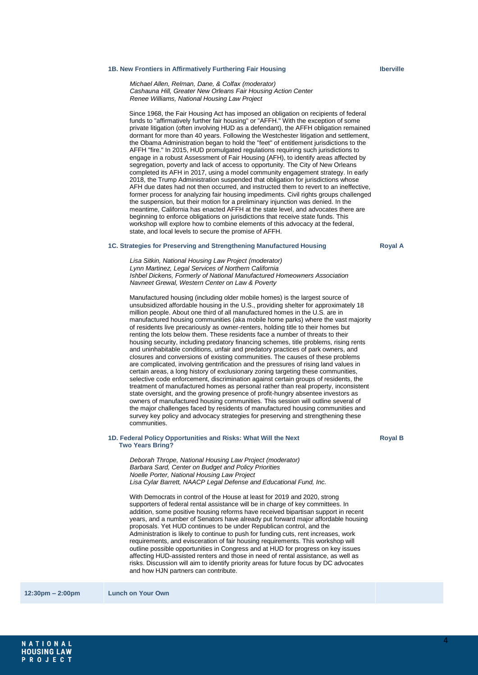#### **1B. New Frontiers in Affirmatively Furthering Fair Housing**

*Michael Allen, Relman, Dane, & Colfax (moderator) Cashauna Hill, Greater New Orleans Fair Housing Action Center Renee Williams, National Housing Law Project*

Since 1968, the Fair Housing Act has imposed an obligation on recipients of federal funds to "affirmatively further fair housing" or "AFFH." With the exception of some private litigation (often involving HUD as a defendant), the AFFH obligation remained dormant for more than 40 years. Following the Westchester litigation and settlement, the Obama Administration began to hold the "feet" of entitlement jurisdictions to the AFFH "fire." In 2015, HUD promulgated regulations requiring such jurisdictions to engage in a robust Assessment of Fair Housing (AFH), to identify areas affected by segregation, poverty and lack of access to opportunity. The City of New Orleans completed its AFH in 2017, using a model community engagement strategy. In early 2018, the Trump Administration suspended that obligation for jurisdictions whose AFH due dates had not then occurred, and instructed them to revert to an ineffective, former process for analyzing fair housing impediments. Civil rights groups challenged the suspension, but their motion for a preliminary injunction was denied. In the meantime, California has enacted AFFH at the state level, and advocates there are beginning to enforce obligations on jurisdictions that receive state funds. This workshop will explore how to combine elements of this advocacy at the federal, state, and local levels to secure the promise of AFFH.

#### **1C. Strategies for Preserving and Strengthening Manufactured Housing**

**Royal A**

*Lisa Sitkin, National Housing Law Project (moderator) Lynn Martinez, Legal Services of Northern California Ishbel Dickens, Formerly of National Manufactured Homeowners Association Navneet Grewal, Western Center on Law & Poverty*

Manufactured housing (including older mobile homes) is the largest source of unsubsidized affordable housing in the U.S., providing shelter for approximately 18 million people. About one third of all manufactured homes in the U.S. are in manufactured housing communities (aka mobile home parks) where the vast majority of residents live precariously as owner-renters, holding title to their homes but renting the lots below them. These residents face a number of threats to their housing security, including predatory financing schemes, title problems, rising rents and uninhabitable conditions, unfair and predatory practices of park owners, and closures and conversions of existing communities. The causes of these problems are complicated, involving gentrification and the pressures of rising land values in certain areas, a long history of exclusionary zoning targeting these communities, selective code enforcement, discrimination against certain groups of residents, the treatment of manufactured homes as personal rather than real property, inconsistent state oversight, and the growing presence of profit-hungry absentee investors as owners of manufactured housing communities. This session will outline several of the major challenges faced by residents of manufactured housing communities and survey key policy and advocacy strategies for preserving and strengthening these communities.

#### **1D. Federal Policy Opportunities and Risks: What Will the Next Two Years Bring?**

**Royal B**

*Deborah Thrope, National Housing Law Project (moderator) Barbara Sard, Center on Budget and Policy Priorities Noelle Porter, National Housing Law Project Lisa Cylar Barrett, NAACP Legal Defense and Educational Fund, Inc.*

With Democrats in control of the House at least for 2019 and 2020, strong supporters of federal rental assistance will be in charge of key committees. In addition, some positive housing reforms have received bipartisan support in recent years, and a number of Senators have already put forward major affordable housing proposals. Yet HUD continues to be under Republican control, and the Administration is likely to continue to push for funding cuts, rent increases, work requirements, and evisceration of fair housing requirements. This workshop will outline possible opportunities in Congress and at HUD for progress on key issues affecting HUD-assisted renters and those in need of rental assistance, as well as risks. Discussion will aim to identify priority areas for future focus by DC advocates and how HJN partners can contribute.

**12:30pm – 2:00pm Lunch on Your Own**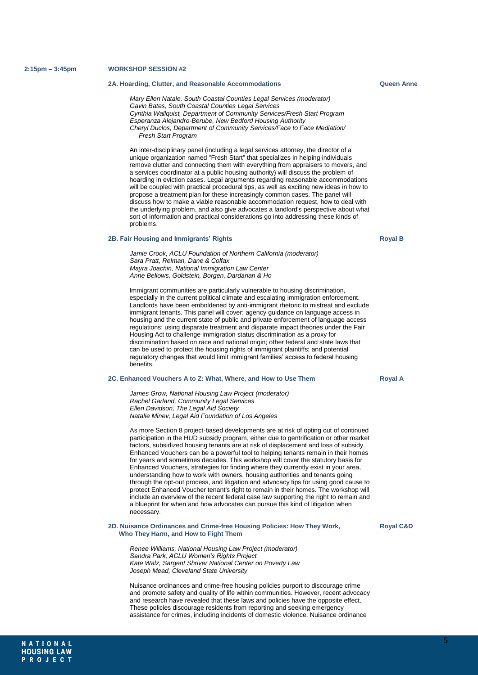NATIONAL **HOUSING LAW** PROJECT

#### **2A. Hoarding, Clutter, and Reasonable Accommodations**

*Mary Ellen Natale, South Coastal Counties Legal Services (moderator) Gavin Bates, South Coastal Counties Legal Services Cynthia Wallquist, Department of Community Services/Fresh Start Program Esperanza Alejandro-Berube, New Bedford Housing Authority Cheryl Duclos, Department of Community Services/Face to Face Mediation/ Fresh Start Program*

An inter-disciplinary panel (including a legal services attorney, the director of a unique organization named "Fresh Start" that specializes in helping individuals remove clutter and connecting them with everything from appraisers to movers, and a services coordinator at a public housing authority) will discuss the problem of hoarding in eviction cases. Legal arguments regarding reasonable accommodations will be coupled with practical procedural tips, as well as exciting new ideas in how to propose a treatment plan for these increasingly common cases. The panel will discuss how to make a viable reasonable accommodation request, how to deal with the underlying problem, and also give advocates a landlord's perspective about what sort of information and practical considerations go into addressing these kinds of problems.

#### **2B. Fair Housing and Immigrants' Rights**

*Jamie Crook, ACLU Foundation of Northern California (moderator) Sara Pratt, Relman, Dane & Colfax Mayra Joachin, National Immigration Law Center Anne Bellows, Goldstein, Borgen, Dardarian & Ho*

Immigrant communities are particularly vulnerable to housing discrimination, especially in the current political climate and escalating immigration enforcement. Landlords have been emboldened by anti-immigrant rhetoric to mistreat and exclude immigrant tenants. This panel will cover: agency guidance on language access in housing and the current state of public and private enforcement of language access regulations; using disparate treatment and disparate impact theories under the Fair Housing Act to challenge immigration status discrimination as a proxy for discrimination based on race and national origin; other federal and state laws that can be used to protect the housing rights of immigrant plaintiffs; and potential regulatory changes that would limit immigrant families' access to federal housing benefits.

#### **2C. Enhanced Vouchers A to Z: What, Where, and How to Use Them**

*James Grow, National Housing Law Project (moderator) Rachel Garland, Community Legal Services Ellen Davidson, The Legal Aid Society Natalie Minev, Legal Aid Foundation of Los Angeles*

As more Section 8 project-based developments are at risk of opting out of continued participation in the HUD subsidy program, either due to gentrification or other market factors, subsidized housing tenants are at risk of displacement and loss of subsidy. Enhanced Vouchers can be a powerful tool to helping tenants remain in their homes for years and sometimes decades. This workshop will cover the statutory basis for Enhanced Vouchers, strategies for finding where they currently exist in your area, understanding how to work with owners, housing authorities and tenants going through the opt-out process, and litigation and advocacy tips for using good cause to protect Enhanced Voucher tenant's right to remain in their homes. The workshop will include an overview of the recent federal case law supporting the right to remain and a blueprint for when and how advocates can pursue this kind of litigation when necessary.

#### **2D. Nuisance Ordinances and Crime-free Housing Policies: How They Work, Who They Harm, and How to Fight Them**

*Renee Williams, National Housing Law Project (moderator) Sandra Park, ACLU Women's Rights Project Kate Walz, Sargent Shriver National Center on Poverty Law Joseph Mead, Cleveland State University*

Nuisance ordinances and crime-free housing policies purport to discourage crime and promote safety and quality of life within communities. However, recent advocacy and research have revealed that these laws and policies have the opposite effect. These policies discourage residents from reporting and seeking emergency assistance for crimes, including incidents of domestic violence. Nuisance ordinance

**Royal C&D**

**Royal B**

**Royal A**

**Queen Anne**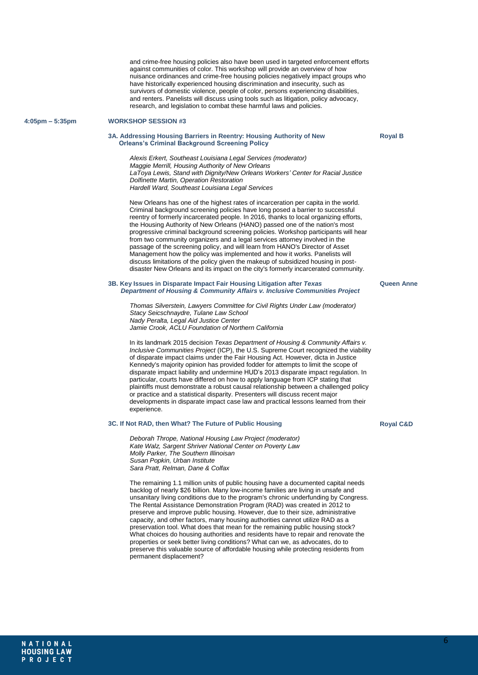and crime-free housing policies also have been used in targeted enforcement efforts against communities of color. This workshop will provide an overview of how nuisance ordinances and crime-free housing policies negatively impact groups who have historically experienced housing discrimination and insecurity, such as survivors of domestic violence, people of color, persons experiencing disabilities, and renters. Panelists will discuss using tools such as litigation, policy advocacy, research, and legislation to combat these harmful laws and policies.

#### **4:05pm – 5:35pm WORKSHOP SESSION #3**

#### **3A. Addressing Housing Barriers in Reentry: Housing Authority of New Orleans's Criminal Background Screening Policy**

**Royal B**

*Alexis Erkert, Southeast Louisiana Legal Services (moderator) Maggie Merrill, Housing Authority of New Orleans LaToya Lewis, Stand with Dignity/New Orleans Workers' Center for Racial Justice Dolfinette Martin, Operation Restoration Hardell Ward, Southeast Louisiana Legal Services*

New Orleans has one of the highest rates of incarceration per capita in the world. Criminal background screening policies have long posed a barrier to successful reentry of formerly incarcerated people. In 2016, thanks to local organizing efforts, the Housing Authority of New Orleans (HANO) passed one of the nation's most progressive criminal background screening policies. Workshop participants will hear from two community organizers and a legal services attorney involved in the passage of the screening policy, and will learn from HANO's Director of Asset Management how the policy was implemented and how it works. Panelists will discuss limitations of the policy given the makeup of subsidized housing in postdisaster New Orleans and its impact on the city's formerly incarcerated community.

#### **3B. Key Issues in Disparate Impact Fair Housing Litigation after** *Texas Department of Housing & Community Affairs v. Inclusive Communities Project*

*Thomas Silverstein, Lawyers Committee for Civil Rights Under Law (moderator) Stacy Seicschnaydre, Tulane Law School Nady Peralta, Legal Aid Justice Center Jamie Crook, ACLU Foundation of Northern California*

In its landmark 2015 decision *Texas Department of Housing & Community Affairs v. Inclusive Communities Project* (ICP), the U.S. Supreme Court recognized the viability of disparate impact claims under the Fair Housing Act. However, dicta in Justice Kennedy's majority opinion has provided fodder for attempts to limit the scope of disparate impact liability and undermine HUD's 2013 disparate impact regulation. In particular, courts have differed on how to apply language from ICP stating that plaintiffs must demonstrate a robust causal relationship between a challenged policy or practice and a statistical disparity. Presenters will discuss recent major developments in disparate impact case law and practical lessons learned from their experience.

#### **3C. If Not RAD, then What? The Future of Public Housing**

*Deborah Thrope, National Housing Law Project (moderator) Kate Walz, Sargent Shriver National Center on Poverty Law Molly Parker, The Southern Illinoisan Susan Popkin, Urban Institute Sara Pratt, Relman, Dane & Colfax*

The remaining 1.1 million units of public housing have a documented capital needs backlog of nearly \$26 billion. Many low-income families are living in unsafe and unsanitary living conditions due to the program's chronic underfunding by Congress. The Rental Assistance Demonstration Program (RAD) was created in 2012 to preserve and improve public housing. However, due to their size, administrative capacity, and other factors, many housing authorities cannot utilize RAD as a preservation tool. What does that mean for the remaining public housing stock? What choices do housing authorities and residents have to repair and renovate the properties or seek better living conditions? What can we, as advocates, do to preserve this valuable source of affordable housing while protecting residents from permanent displacement?

**Queen Anne**

#### **Royal C&D**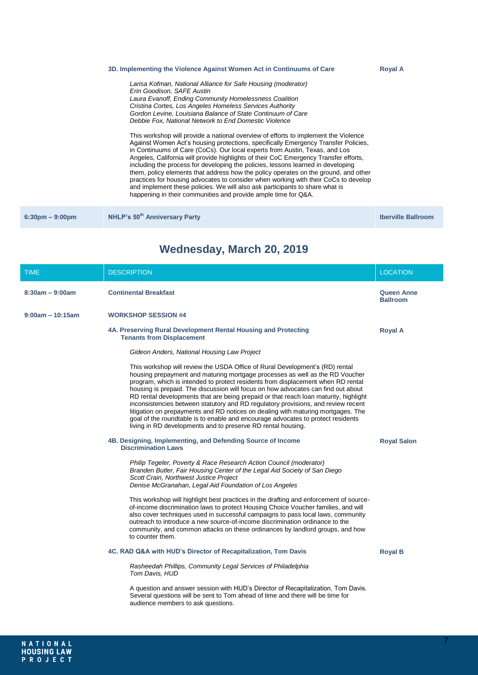#### **3D. Implementing the Violence Against Women Act in Continuums of Care**

*Larisa Kofman, National Alliance for Safe Housing (moderator) Erin Goodison, SAFE Austin Laura Evanoff, Ending Community Homelessness Coalition Cristina Cortes, Los Angeles Homeless Services Authority Gordon Levine, Louisiana Balance of State Continuum of Care Debbie Fox, National Network to End Domestic Violence*

This workshop will provide a national overview of efforts to implement the Violence Against Women Act's housing protections, specifically Emergency Transfer Policies, in Continuums of Care (CoCs). Our local experts from Austin, Texas, and Los Angeles, California will provide highlights of their CoC Emergency Transfer efforts, including the process for developing the policies, lessons learned in developing them, policy elements that address how the policy operates on the ground, and other practices for housing advocates to consider when working with their CoCs to develop and implement these policies. We will also ask participants to share what is happening in their communities and provide ample time for Q&A.

**Royal A**

**6:30pm – 9:00pm NHLP's 50th Anniversary Party Iberville Ballroom**

# **Wednesday, March 20, 2019**

| <b>TIME</b>        | <b>DESCRIPTION</b>                                                                                                                                                                                                                                                                                                                                                                                                                                                                                                                                                                                                                                                                                                                                         | <b>LOCATION</b>                      |
|--------------------|------------------------------------------------------------------------------------------------------------------------------------------------------------------------------------------------------------------------------------------------------------------------------------------------------------------------------------------------------------------------------------------------------------------------------------------------------------------------------------------------------------------------------------------------------------------------------------------------------------------------------------------------------------------------------------------------------------------------------------------------------------|--------------------------------------|
| $8:30am - 9:00am$  | <b>Continental Breakfast</b>                                                                                                                                                                                                                                                                                                                                                                                                                                                                                                                                                                                                                                                                                                                               | <b>Queen Anne</b><br><b>Ballroom</b> |
| $9:00am - 10:15am$ | <b>WORKSHOP SESSION #4</b>                                                                                                                                                                                                                                                                                                                                                                                                                                                                                                                                                                                                                                                                                                                                 |                                      |
|                    | 4A. Preserving Rural Development Rental Housing and Protecting<br><b>Tenants from Displacement</b>                                                                                                                                                                                                                                                                                                                                                                                                                                                                                                                                                                                                                                                         | <b>Royal A</b>                       |
|                    | Gideon Anders, National Housing Law Project                                                                                                                                                                                                                                                                                                                                                                                                                                                                                                                                                                                                                                                                                                                |                                      |
|                    | This workshop will review the USDA Office of Rural Development's (RD) rental<br>housing prepayment and maturing mortgage processes as well as the RD Voucher<br>program, which is intended to protect residents from displacement when RD rental<br>housing is prepaid. The discussion will focus on how advocates can find out about<br>RD rental developments that are being prepaid or that reach loan maturity, highlight<br>inconsistencies between statutory and RD regulatory provisions, and review recent<br>litigation on prepayments and RD notices on dealing with maturing mortgages. The<br>goal of the roundtable is to enable and encourage advocates to protect residents<br>living in RD developments and to preserve RD rental housing. |                                      |
|                    | 4B. Designing, Implementing, and Defending Source of Income<br><b>Discrimination Laws</b>                                                                                                                                                                                                                                                                                                                                                                                                                                                                                                                                                                                                                                                                  | <b>Royal Salon</b>                   |
|                    | Philip Tegeler, Poverty & Race Research Action Council (moderator)<br>Branden Butler, Fair Housing Center of the Legal Aid Society of San Diego<br>Scott Crain, Northwest Justice Project<br>Denise McGranahan, Legal Aid Foundation of Los Angeles                                                                                                                                                                                                                                                                                                                                                                                                                                                                                                        |                                      |
|                    | This workshop will highlight best practices in the drafting and enforcement of source-<br>of-income discrimination laws to protect Housing Choice Voucher families, and will<br>also cover techniques used in successful campaigns to pass local laws, community<br>outreach to introduce a new source-of-income discrimination ordinance to the<br>community, and common attacks on these ordinances by landlord groups, and how<br>to counter them.                                                                                                                                                                                                                                                                                                      |                                      |
|                    | 4C. RAD Q&A with HUD's Director of Recapitalization, Tom Davis                                                                                                                                                                                                                                                                                                                                                                                                                                                                                                                                                                                                                                                                                             | <b>Royal B</b>                       |
|                    | Rasheedah Phillips, Community Legal Services of Philadelphia<br>Tom Davis, HUD                                                                                                                                                                                                                                                                                                                                                                                                                                                                                                                                                                                                                                                                             |                                      |
|                    | A question and answer session with HUD's Director of Recapitalization, Tom Davis.<br>Several questions will be sent to Tom ahead of time and there will be time for<br>audience members to ask questions.                                                                                                                                                                                                                                                                                                                                                                                                                                                                                                                                                  |                                      |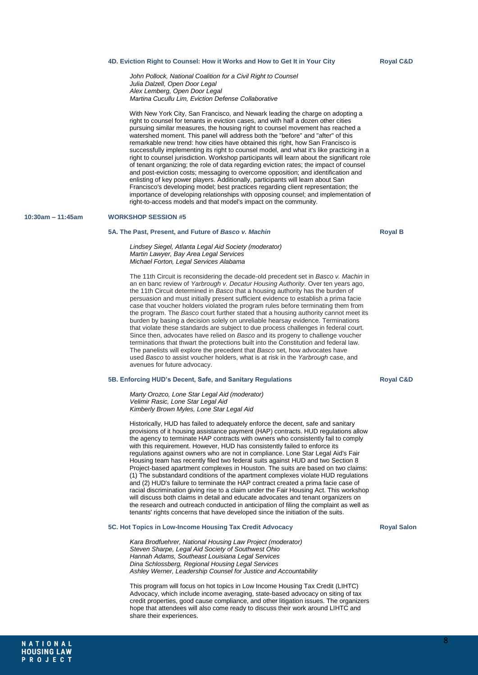#### **4D. Eviction Right to Counsel: How it Works and How to Get It in Your City**

*John Pollock, National Coalition for a Civil Right to Counsel Julia Dalzell, Open Door Legal Alex Lemberg, Open Door Legal Martina Cucullu Lim, Eviction Defense Collaborative*

With New York City, San Francisco, and Newark leading the charge on adopting a right to counsel for tenants in eviction cases, and with half a dozen other cities pursuing similar measures, the housing right to counsel movement has reached a watershed moment. This panel will address both the "before" and "after" of this remarkable new trend: how cities have obtained this right, how San Francisco is successfully implementing its right to counsel model, and what it's like practicing in a right to counsel jurisdiction. Workshop participants will learn about the significant role of tenant organizing; the role of data regarding eviction rates; the impact of counsel and post-eviction costs; messaging to overcome opposition; and identification and enlisting of key power players. Additionally, participants will learn about San Francisco's developing model; best practices regarding client representation; the importance of developing relationships with opposing counsel; and implementation of right-to-access models and that model's impact on the community.

#### **10:30am – 11:45am WORKSHOP SESSION #5**

#### **5A. The Past, Present, and Future of** *Basco v. Machin*

*Lindsey Siegel, Atlanta Legal Aid Society (moderator) Martin Lawyer, Bay Area Legal Services Michael Forton, Legal Services Alabama*

The 11th Circuit is reconsidering the decade-old precedent set in *Basco v. Machin* in an en banc review of *Yarbrough v. Decatur Housing Authority*. Over ten years ago, the 11th Circuit determined in *Basco* that a housing authority has the burden of persuasion and must initially present sufficient evidence to establish a prima facie case that voucher holders violated the program rules before terminating them from the program. The *Basco* court further stated that a housing authority cannot meet its burden by basing a decision solely on unreliable hearsay evidence. Terminations that violate these standards are subject to due process challenges in federal court. Since then, advocates have relied on *Basco* and its progeny to challenge voucher terminations that thwart the protections built into the Constitution and federal law. The panelists will explore the precedent that *Basco* set, how advocates have used *Basco* to assist voucher holders, what is at risk in the *Yarbrough* case, and avenues for future advocacy.

#### **5B. Enforcing HUD's Decent, Safe, and Sanitary Regulations**

*Marty Orozco, Lone Star Legal Aid (moderator) Velimir Rasic, Lone Star Legal Aid Kimberly Brown Myles, Lone Star Legal Aid*

Historically, HUD has failed to adequately enforce the decent, safe and sanitary provisions of it housing assistance payment (HAP) contracts. HUD regulations allow the agency to terminate HAP contracts with owners who consistently fail to comply with this requirement. However, HUD has consistently failed to enforce its regulations against owners who are not in compliance. Lone Star Legal Aid's Fair Housing team has recently filed two federal suits against HUD and two Section 8 Project-based apartment complexes in Houston. The suits are based on two claims: (1) The substandard conditions of the apartment complexes violate HUD regulations and (2) HUD's failure to terminate the HAP contract created a prima facie case of racial discrimination giving rise to a claim under the Fair Housing Act. This workshop will discuss both claims in detail and educate advocates and tenant organizers on the research and outreach conducted in anticipation of filing the complaint as well as tenants' rights concerns that have developed since the initiation of the suits.

#### **5C. Hot Topics in Low-Income Housing Tax Credit Advocacy**

*Kara Brodfuehrer, National Housing Law Project (moderator) Steven Sharpe, Legal Aid Society of Southwest Ohio Hannah Adams, Southeast Louisiana Legal Services Dina Schlossberg, Regional Housing Legal Services Ashley Werner, Leadership Counsel for Justice and Accountability*

This program will focus on hot topics in Low Income Housing Tax Credit (LIHTC) Advocacy, which include income averaging, state-based advocacy on siting of tax credit properties, good cause compliance, and other litigation issues. The organizers hope that attendees will also come ready to discuss their work around LIHTC and share their experiences.

**Royal Salon**

# **Royal B**

**Royal C&D**

**Royal C&D**

NATIONAL **HOUSING LAW** PROJECT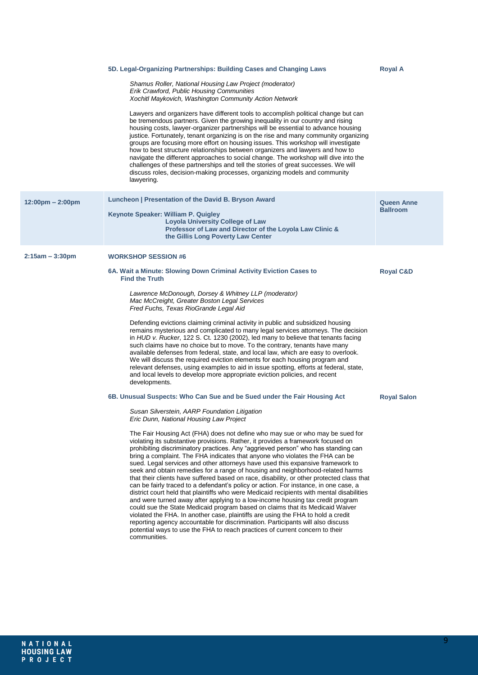|                                    | 5D. Legal-Organizing Partnerships: Building Cases and Changing Laws                                                                                                                                                                                                                                                                                                                                                                                                                                                                                                                                                                                                                                                                                                                                                                                                                                                                                                                                                                                                                                                                                                                                                                    | <b>Royal A</b>                       |
|------------------------------------|----------------------------------------------------------------------------------------------------------------------------------------------------------------------------------------------------------------------------------------------------------------------------------------------------------------------------------------------------------------------------------------------------------------------------------------------------------------------------------------------------------------------------------------------------------------------------------------------------------------------------------------------------------------------------------------------------------------------------------------------------------------------------------------------------------------------------------------------------------------------------------------------------------------------------------------------------------------------------------------------------------------------------------------------------------------------------------------------------------------------------------------------------------------------------------------------------------------------------------------|--------------------------------------|
|                                    | Shamus Roller, National Housing Law Project (moderator)<br>Erik Crawford, Public Housing Communities<br>Xochitl Maykovich, Washington Community Action Network                                                                                                                                                                                                                                                                                                                                                                                                                                                                                                                                                                                                                                                                                                                                                                                                                                                                                                                                                                                                                                                                         |                                      |
|                                    | Lawyers and organizers have different tools to accomplish political change but can<br>be tremendous partners. Given the growing inequality in our country and rising<br>housing costs, lawyer-organizer partnerships will be essential to advance housing<br>justice. Fortunately, tenant organizing is on the rise and many community organizing<br>groups are focusing more effort on housing issues. This workshop will investigate<br>how to best structure relationships between organizers and lawyers and how to<br>navigate the different approaches to social change. The workshop will dive into the<br>challenges of these partnerships and tell the stories of great successes. We will<br>discuss roles, decision-making processes, organizing models and community<br>lawyering.                                                                                                                                                                                                                                                                                                                                                                                                                                         |                                      |
| $12:00 \text{pm} - 2:00 \text{pm}$ | Luncheon   Presentation of the David B. Bryson Award<br>Keynote Speaker: William P. Quigley<br><b>Loyola University College of Law</b><br>Professor of Law and Director of the Loyola Law Clinic &<br>the Gillis Long Poverty Law Center                                                                                                                                                                                                                                                                                                                                                                                                                                                                                                                                                                                                                                                                                                                                                                                                                                                                                                                                                                                               | <b>Queen Anne</b><br><b>Ballroom</b> |
| $2:15am - 3:30pm$                  | <b>WORKSHOP SESSION #6</b>                                                                                                                                                                                                                                                                                                                                                                                                                                                                                                                                                                                                                                                                                                                                                                                                                                                                                                                                                                                                                                                                                                                                                                                                             |                                      |
|                                    | 6A. Wait a Minute: Slowing Down Criminal Activity Eviction Cases to<br><b>Find the Truth</b>                                                                                                                                                                                                                                                                                                                                                                                                                                                                                                                                                                                                                                                                                                                                                                                                                                                                                                                                                                                                                                                                                                                                           | <b>Royal C&amp;D</b>                 |
|                                    | Lawrence McDonough, Dorsey & Whitney LLP (moderator)<br>Mac McCreight, Greater Boston Legal Services<br>Fred Fuchs, Texas RioGrande Legal Aid                                                                                                                                                                                                                                                                                                                                                                                                                                                                                                                                                                                                                                                                                                                                                                                                                                                                                                                                                                                                                                                                                          |                                      |
|                                    | Defending evictions claiming criminal activity in public and subsidized housing<br>remains mysterious and complicated to many legal services attorneys. The decision<br>in HUD v. Rucker, 122 S. Ct. 1230 (2002), led many to believe that tenants facing<br>such claims have no choice but to move. To the contrary, tenants have many<br>available defenses from federal, state, and local law, which are easy to overlook.<br>We will discuss the required eviction elements for each housing program and<br>relevant defenses, using examples to aid in issue spotting, efforts at federal, state,<br>and local levels to develop more appropriate eviction policies, and recent<br>developments.                                                                                                                                                                                                                                                                                                                                                                                                                                                                                                                                  |                                      |
|                                    | 6B. Unusual Suspects: Who Can Sue and be Sued under the Fair Housing Act                                                                                                                                                                                                                                                                                                                                                                                                                                                                                                                                                                                                                                                                                                                                                                                                                                                                                                                                                                                                                                                                                                                                                               | <b>Royal Salon</b>                   |
|                                    | Susan Silverstein, AARP Foundation Litigation<br>Eric Dunn, National Housing Law Project                                                                                                                                                                                                                                                                                                                                                                                                                                                                                                                                                                                                                                                                                                                                                                                                                                                                                                                                                                                                                                                                                                                                               |                                      |
|                                    | The Fair Housing Act (FHA) does not define who may sue or who may be sued for<br>violating its substantive provisions. Rather, it provides a framework focused on<br>prohibiting discriminatory practices. Any "aggrieved person" who has standing can<br>bring a complaint. The FHA indicates that anyone who violates the FHA can be<br>sued. Legal services and other attorneys have used this expansive framework to<br>seek and obtain remedies for a range of housing and neighborhood-related harms<br>that their clients have suffered based on race, disability, or other protected class that<br>can be fairly traced to a defendant's policy or action. For instance, in one case, a<br>district court held that plaintiffs who were Medicaid recipients with mental disabilities<br>and were turned away after applying to a low-income housing tax credit program<br>could sue the State Medicaid program based on claims that its Medicaid Waiver<br>violated the FHA. In another case, plaintiffs are using the FHA to hold a credit<br>reporting agency accountable for discrimination. Participants will also discuss<br>potential ways to use the FHA to reach practices of current concern to their<br>communities. |                                      |
|                                    |                                                                                                                                                                                                                                                                                                                                                                                                                                                                                                                                                                                                                                                                                                                                                                                                                                                                                                                                                                                                                                                                                                                                                                                                                                        |                                      |